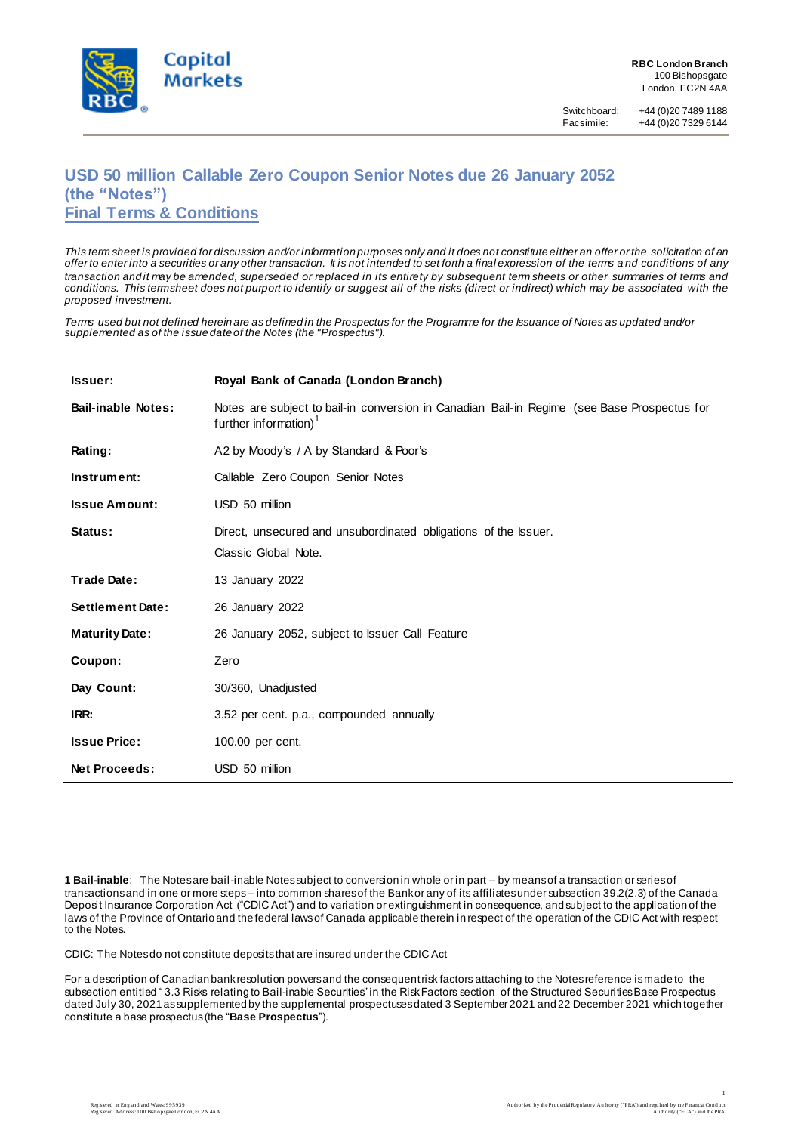

Facsimile: +44 (0)20 7329 6144

# **USD 50 million Callable Zero Coupon Senior Notes due 26 January 2052 (the "Notes") Final Terms & Conditions**

*This term sheet is provided for discussion and/or information purposes only and it does not constitute either an offer or the solicitation of an offer to enter into a securities or any other transaction. It is not intended to set forth a final expression of the terms a nd conditions of any transaction and it may be amended, superseded or replaced in its entirety by subsequent term sheets or other summaries of terms and conditions. This term sheet does not purport to identify or suggest all of the risks (direct or indirect) which may be associated with the proposed investment.*

*Terms used but not defined herein are as defined in the Prospectus for the Programme for the Issuance of Notes as updated and/or supplemented as of the issue date of the Notes (the "Prospectus").*

| Issuer:                   | Royal Bank of Canada (London Branch)                                                                                             |
|---------------------------|----------------------------------------------------------------------------------------------------------------------------------|
| <b>Bail-inable Notes:</b> | Notes are subject to bail-in conversion in Canadian Bail-in Regime (see Base Prospectus for<br>further information) <sup>1</sup> |
| Rating:                   | A2 by Moody's / A by Standard & Poor's                                                                                           |
| Instrument:               | Callable Zero Coupon Senior Notes                                                                                                |
| <b>Issue Amount:</b>      | USD 50 million                                                                                                                   |
| Status:                   | Direct, unsecured and unsubordinated obligations of the Issuer.<br>Classic Global Note.                                          |
| Trade Date:               | 13 January 2022                                                                                                                  |
| <b>Settlement Date:</b>   | 26 January 2022                                                                                                                  |
| <b>Maturity Date:</b>     | 26 January 2052, subject to Issuer Call Feature                                                                                  |
| Coupon:                   | Zero                                                                                                                             |
| Day Count:                | 30/360, Unadjusted                                                                                                               |
| IRR:                      | 3.52 per cent. p.a., compounded annually                                                                                         |
| <b>Issue Price:</b>       | 100.00 per cent.                                                                                                                 |
| <b>Net Proceeds:</b>      | USD 50 million                                                                                                                   |

**1 Bail-inable**: The Notes are bail-inable Notes subject to conversion in whole or in part – by means of a transaction or series of transactions and in one or more steps – into common shares of the Bank or any of its affiliates under subsection 39.2(2.3) of the Canada Deposit Insurance Corporation Act ("CDIC Act") and to variation or extinguishment in consequence, and subject to the application of the laws of the Province of Ontario and the federal laws of Canada applicable therein in respect of the operation of the CDIC Act with respect to the Notes.

CDIC: The Notes do not constitute deposits that are insured under the CDIC Act

For a description of Canadian bank resolution powers and the consequent risk factors attaching to the Notes reference is made to the subsection entitled " 3.3 Risks relating to Bail-inable Securities" in the Risk Factors section of the Structured Securities Base Prospectus dated July 30, 2021 as supplemented by the supplemental prospectuses dated 3 September 2021 and 22 December 2021 which together constitute a base prospectus (the "**Base Prospectus**").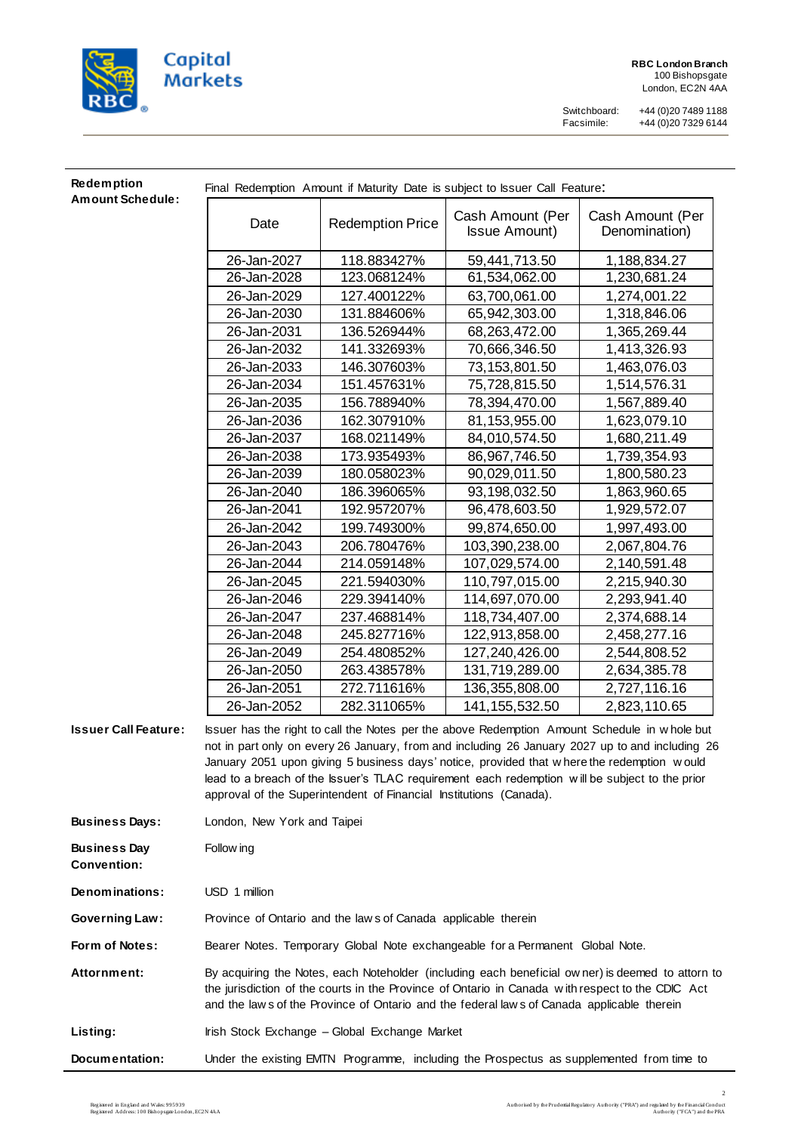

Switchboard: +44 (0)20 7489 1188 Facsimile: +44 (0)20 7329 6144

## **Redemption Amount Schedule:**

Final Redemption Amount if Maturity Date is subject to Issuer Call Feature:

| <b>Redemption Price</b><br>Date<br>26-Jan-2027<br>118.883427% | Cash Amount (Per<br><b>Issue Amount)</b> | Cash Amount (Per<br>Denomination) |
|---------------------------------------------------------------|------------------------------------------|-----------------------------------|
|                                                               |                                          |                                   |
|                                                               | 59,441,713.50                            | 1,188,834.27                      |
| 26-Jan-2028<br>123.068124%                                    | 61,534,062.00                            | 1,230,681.24                      |
| 26-Jan-2029<br>127.400122%                                    | 63,700,061.00                            | 1,274,001.22                      |
| 26-Jan-2030<br>131.884606%                                    | 65,942,303.00                            | 1,318,846.06                      |
| 26-Jan-2031<br>136.526944%                                    | 68,263,472.00                            | 1,365,269.44                      |
| 26-Jan-2032<br>141.332693%                                    | 70,666,346.50                            | 1,413,326.93                      |
| 26-Jan-2033<br>146.307603%                                    | 73, 153, 801.50                          | 1,463,076.03                      |
| 151.457631%<br>26-Jan-2034                                    | 75,728,815.50                            | 1,514,576.31                      |
| 26-Jan-2035<br>156.788940%                                    | 78,394,470.00                            | 1,567,889.40                      |
| 26-Jan-2036<br>162.307910%                                    | 81,153,955.00                            | 1,623,079.10                      |
| 168.021149%<br>26-Jan-2037                                    | 84,010,574.50                            | 1,680,211.49                      |
| 26-Jan-2038<br>173.935493%                                    | 86,967,746.50                            | 1,739,354.93                      |
| 26-Jan-2039<br>180.058023%                                    | 90,029,011.50                            | 1,800,580.23                      |
| 26-Jan-2040<br>186.396065%                                    | 93,198,032.50                            | 1,863,960.65                      |
| 26-Jan-2041<br>192.957207%                                    | 96,478,603.50                            | 1,929,572.07                      |
| 26-Jan-2042<br>199.749300%                                    | 99,874,650.00                            | 1,997,493.00                      |
| 26-Jan-2043<br>206.780476%                                    | 103,390,238.00                           | 2,067,804.76                      |
| 26-Jan-2044<br>214.059148%                                    | 107,029,574.00                           | 2,140,591.48                      |
| 26-Jan-2045<br>221.594030%                                    | 110,797,015.00                           | 2,215,940.30                      |
| 26-Jan-2046<br>229.394140%                                    | 114,697,070.00                           | 2,293,941.40                      |
| 26-Jan-2047<br>237.468814%                                    | 118,734,407.00                           | 2,374,688.14                      |
| 26-Jan-2048<br>245.827716%                                    | 122,913,858.00                           | 2,458,277.16                      |
| 26-Jan-2049<br>254.480852%                                    | 127,240,426.00                           | 2,544,808.52                      |
| 26-Jan-2050<br>263.438578%                                    | 131,719,289.00                           | 2,634,385.78                      |
| 26-Jan-2051<br>272.711616%                                    | 136,355,808.00                           | 2,727,116.16                      |
| 26-Jan-2052<br>282.311065%                                    | 141, 155, 532.50                         | 2,823,110.65                      |

**Issuer Call Feature:** Issuer has the right to call the Notes per the above Redemption Amount Schedule in w hole but not in part only on every 26 January, from and including 26 January 2027 up to and including 26 January 2051 upon giving 5 business days' notice, provided that w here the redemption w ould lead to a breach of the Issuer's TLAC requirement each redemption w ill be subject to the prior approval of the Superintendent of Financial Institutions (Canada).

**Business Days:** London, New York and Taipei

**Business Day Convention:** Follow ing

**Denominations:** USD 1 million

Governing Law: Province of Ontario and the law s of Canada applicable therein

Form of Notes: Bearer Notes. Temporary Global Note exchangeable for a Permanent Global Note.

**Attornment:** By acquiring the Notes, each Noteholder (including each beneficial ow ner) is deemed to attorn to the jurisdiction of the courts in the Province of Ontario in Canada w ith respect to the CDIC Act and the law s of the Province of Ontario and the federal law s of Canada applicable therein

Listing: **Indeed Stock Exchange – Global Exchange Market** 

**Documentation:** Under the existing EMTN Programme, including the Prospectus as supplemented from time to

2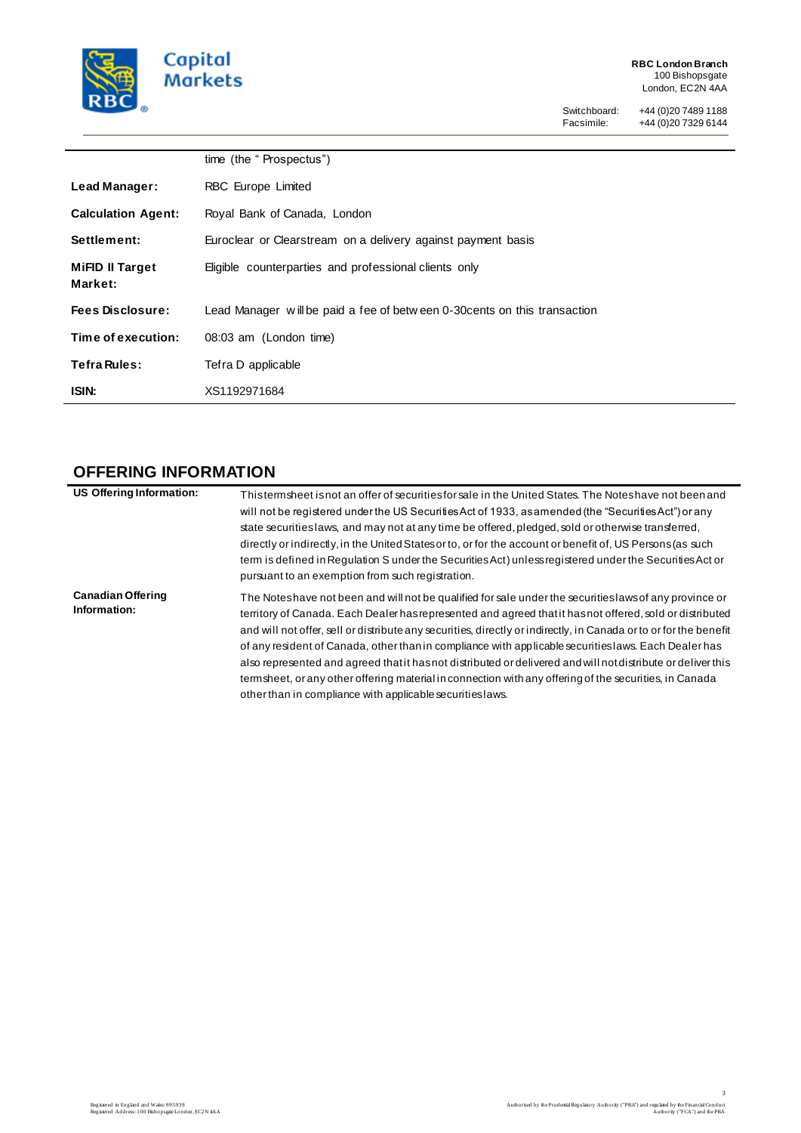

L.

 $\overline{a}$ 

Switchboard: +44 (0)20 7489 1188 Facsimile: +44 (0)20 7329 6144

|                            | time (the "Prospectus")                                                   |
|----------------------------|---------------------------------------------------------------------------|
| Lead Manager:              | RBC Europe Limited                                                        |
| <b>Calculation Agent:</b>  | Royal Bank of Canada, London                                              |
| Settlement:                | Euroclear or Clearstream on a delivery against payment basis              |
| MiFID II Target<br>Market: | Eligible counterparties and professional clients only                     |
| <b>Fees Disclosure:</b>    | Lead Manager will be paid a fee of between 0-30 cents on this transaction |
| Time of execution:         | 08:03 am (London time)                                                    |
| Tefra Rules:               | Tefra D applicable                                                        |
| ISIN:                      | XS1192971684                                                              |

# **OFFERING INFORMATION**

| <b>US Offering Information:</b>          | Thistermsheet is not an offer of securities for sale in the United States. The Notes have not been and<br>will not be registered under the US Securities Act of 1933, as amended (the "Securities Act") or any<br>state securities laws, and may not at any time be offered, pledged, sold or otherwise transferred,<br>directly or indirectly, in the United States or to, or for the account or benefit of, US Persons (as such<br>term is defined in Requlation S under the Securities Act) unless registered under the Securities Act or<br>pursuant to an exemption from such registration.                                                                                                                                        |
|------------------------------------------|-----------------------------------------------------------------------------------------------------------------------------------------------------------------------------------------------------------------------------------------------------------------------------------------------------------------------------------------------------------------------------------------------------------------------------------------------------------------------------------------------------------------------------------------------------------------------------------------------------------------------------------------------------------------------------------------------------------------------------------------|
| <b>Canadian Offering</b><br>Information: | The Noteshave not been and will not be qualified for sale under the securities laws of any province or<br>territory of Canada. Each Dealer has represented and agreed that it has not offered, sold or distributed<br>and will not offer, sell or distribute any securities, directly or indirectly, in Canada or to or for the benefit<br>of any resident of Canada, other than in compliance with applicable securities laws. Each Dealer has<br>also represented and agreed that it has not distributed or delivered and will not distribute or deliver this<br>term sheet, or any other offering material in connection with any offering of the securities, in Canada<br>other than in compliance with applicable securities laws. |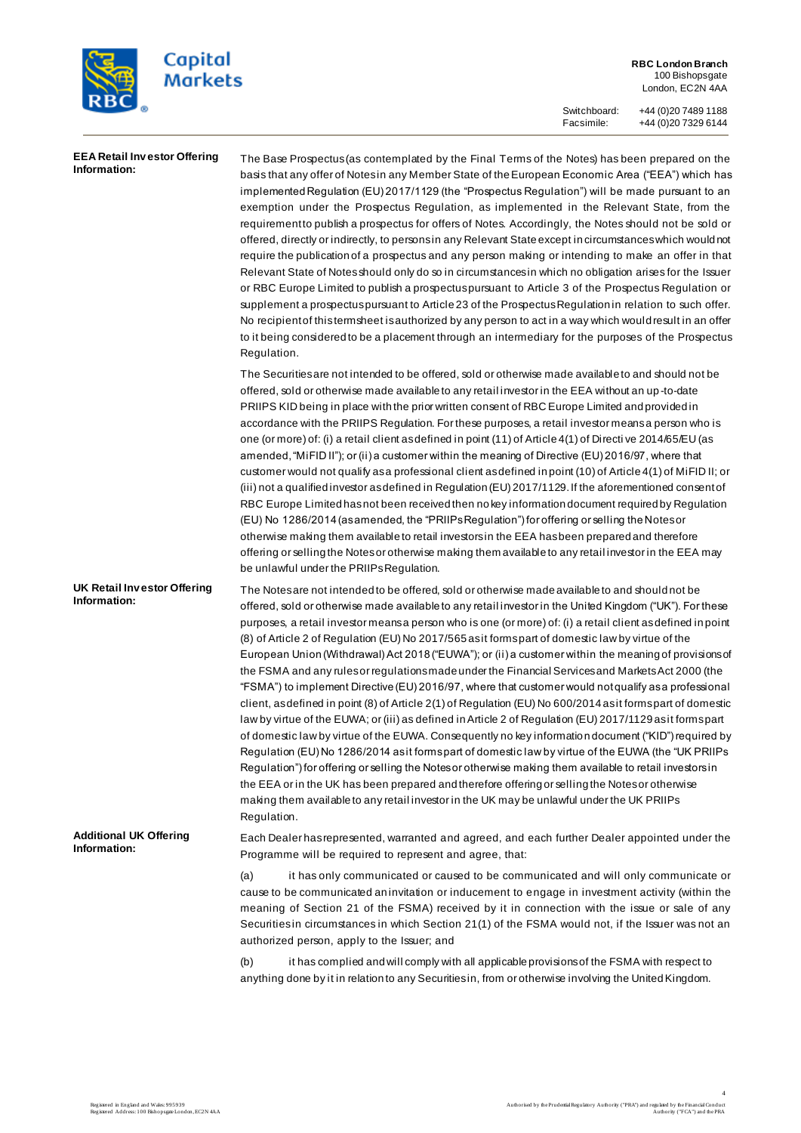

**RBC London Branch** 100 Bishopsgate London, EC2N 4AA

Switchboard: +44 (0)20 7489 1188 Facsimile: +44 (0)20 7329 6144

| <b>EEA Retail Investor Offering</b><br>Information: | The Base Prospectus (as contemplated by the Final Terms of the Notes) has been prepared on the<br>basis that any offer of Notesin any Member State of the European Economic Area ("EEA") which has<br>implemented Regulation (EU) 2017/1129 (the "Prospectus Regulation") will be made pursuant to an<br>exemption under the Prospectus Regulation, as implemented in the Relevant State, from the<br>requirement to publish a prospectus for offers of Notes. Accordingly, the Notes should not be sold or<br>offered, directly or indirectly, to persons in any Relevant State except in circumstances which would not<br>require the publication of a prospectus and any person making or intending to make an offer in that<br>Relevant State of Notes should only do so in circumstances in which no obligation arises for the Issuer<br>or RBC Europe Limited to publish a prospectus pursuant to Article 3 of the Prospectus Regulation or<br>supplement a prospectus pursuant to Article 23 of the Prospectus Regulation in relation to such offer.<br>No recipient of this term sheet is authorized by any person to act in a way which would result in an offer<br>to it being considered to be a placement through an intermediary for the purposes of the Prospectus<br>Regulation.                                                                                                                                                                                                                           |
|-----------------------------------------------------|---------------------------------------------------------------------------------------------------------------------------------------------------------------------------------------------------------------------------------------------------------------------------------------------------------------------------------------------------------------------------------------------------------------------------------------------------------------------------------------------------------------------------------------------------------------------------------------------------------------------------------------------------------------------------------------------------------------------------------------------------------------------------------------------------------------------------------------------------------------------------------------------------------------------------------------------------------------------------------------------------------------------------------------------------------------------------------------------------------------------------------------------------------------------------------------------------------------------------------------------------------------------------------------------------------------------------------------------------------------------------------------------------------------------------------------------------------------------------------------------------------------------------|
|                                                     | The Securities are not intended to be offered, sold or otherwise made available to and should not be<br>offered, sold or otherwise made available to any retail investor in the EEA without an up-to-date<br>PRIIPS KID being in place with the prior written consent of RBC Europe Limited and provided in<br>accordance with the PRIIPS Regulation. For these purposes, a retail investor means a person who is<br>one (or more) of: (i) a retail client as defined in point (11) of Article 4(1) of Directive 2014/65/EU (as<br>amended, "MiFID II"); or (ii) a customer within the meaning of Directive (EU) 2016/97, where that<br>customer would not qualify as a professional client as defined in point (10) of Article 4(1) of MiFID II; or<br>(iii) not a qualified investor as defined in Regulation (EU) 2017/1129. If the aforementioned consent of<br>RBC Europe Limited has not been received then no key information document required by Regulation<br>(EU) No 1286/2014 (asamended, the "PRIIPs Regulation") for offering or selling the Notes or<br>otherwise making them available to retail investors in the EEA has been prepared and therefore<br>offering or selling the Notes or otherwise making them available to any retail investor in the EEA may<br>be unlawful under the PRIIPs Regulation.                                                                                                                                                                                               |
| UK Retail Investor Offering<br>Information:         | The Notes are not intended to be offered, sold or otherwise made available to and should not be<br>offered, sold or otherwise made available to any retail investor in the United Kingdom ("UK"). For these<br>purposes, a retail investor means a person who is one (or more) of: (i) a retail client as defined in point<br>(8) of Article 2 of Regulation (EU) No 2017/565 as it forms part of domestic law by virtue of the<br>European Union (Withdrawal) Act 2018 ("EUWA"); or (ii) a customer within the meaning of provisions of<br>the FSMA and any rules or regulations made under the Financial Services and Markets Act 2000 (the<br>"FSMA") to implement Directive (EU) 2016/97, where that customer would not qualify as a professional<br>client, as defined in point (8) of Article 2(1) of Regulation (EU) No 600/2014 as it forms part of domestic<br>law by virtue of the EUWA; or (iii) as defined in Article 2 of Regulation (EU) 2017/1129 as it forms part<br>of domestic law by virtue of the EUWA. Consequently no key information document ("KID") required by<br>Regulation (EU) No 1286/2014 asit formspart of domestic law by virtue of the EUWA (the "UK PRIIPs<br>Regulation") for offering or selling the Notes or otherwise making them available to retail investors in<br>the EEA or in the UK has been prepared and therefore offering or selling the Notes or otherwise<br>making them available to any retail investor in the UK may be unlawful under the UK PRIIPs<br>Regulation. |
| <b>Additional UK Offering</b><br>Information:       | Each Dealer has represented, warranted and agreed, and each further Dealer appointed under the<br>Programme will be required to represent and agree, that:<br>(a)<br>it has only communicated or caused to be communicated and will only communicate or<br>cause to be communicated an invitation or inducement to engage in investment activity (within the<br>meaning of Section 21 of the FSMA) received by it in connection with the issue or sale of any<br>Securities in circumstances in which Section 21(1) of the FSMA would not, if the Issuer was not an<br>authorized person, apply to the Issuer; and                                                                                                                                                                                                                                                                                                                                                                                                                                                                                                                                                                                                                                                                                                                                                                                                                                                                                                        |
|                                                     | (b)<br>it has complied and will comply with all applicable provisions of the FSMA with respect to<br>anything done by it in relation to any Securities in, from or otherwise involving the United Kingdom.                                                                                                                                                                                                                                                                                                                                                                                                                                                                                                                                                                                                                                                                                                                                                                                                                                                                                                                                                                                                                                                                                                                                                                                                                                                                                                                |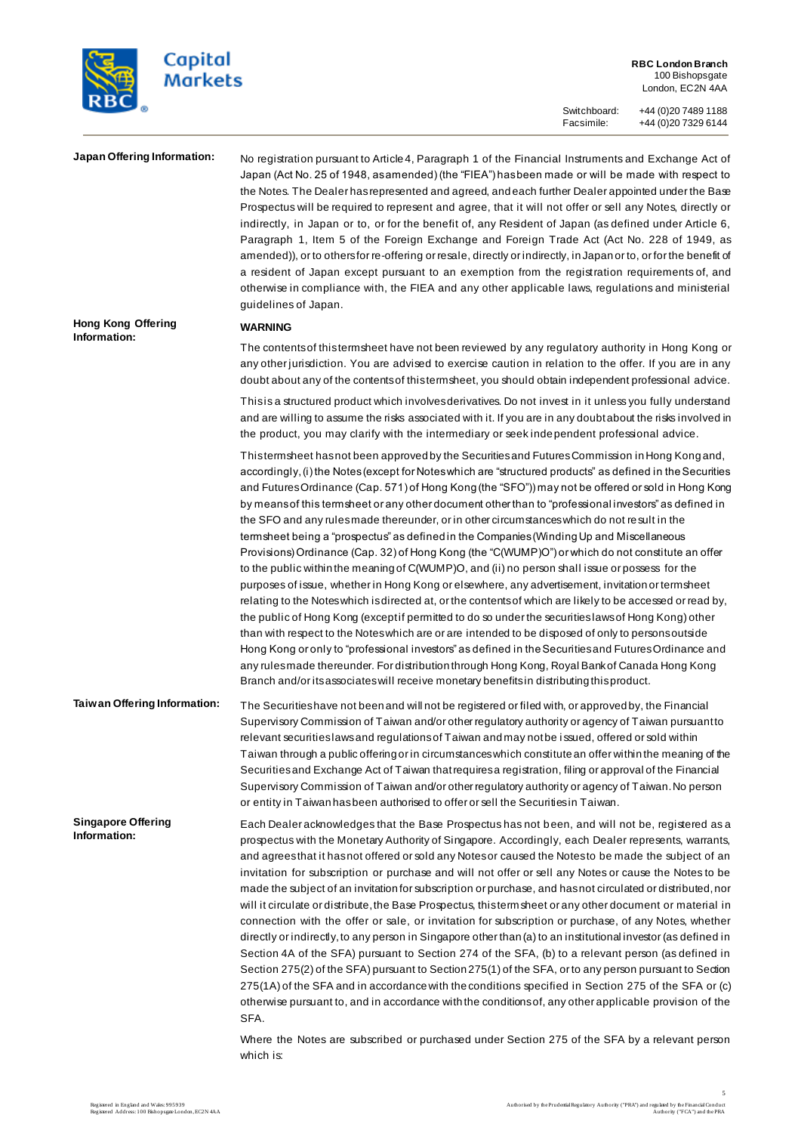

**RBC London Branch** 100 Bishopsgate London, EC2N 4AA

Switchboard: +44 (0)20 7489 1188

Facsimile: +44 (0)20 7329 6144

**Hong Kong Offering Information:**

**Japan Offering Information:** No registration pursuant to Article 4, Paragraph 1 of the Financial Instruments and Exchange Act of Japan (Act No. 25 of 1948, as amended) (the "FIEA") has been made or will be made with respect to the Notes. The Dealer has represented and agreed, and each further Dealer appointed under the Base Prospectus will be required to represent and agree, that it will not offer or sell any Notes, directly or indirectly, in Japan or to, or for the benefit of, any Resident of Japan (as defined under Article 6, Paragraph 1, Item 5 of the Foreign Exchange and Foreign Trade Act (Act No. 228 of 1949, as amended)), or to others for re-offering or resale, directly or indirectly, in Japan or to, or for the benefit of a resident of Japan except pursuant to an exemption from the registration requirements of, and otherwise in compliance with, the FIEA and any other applicable laws, regulations and ministerial guidelines of Japan.

### **WARNING**

The contents of this termsheet have not been reviewed by any regulatory authority in Hong Kong or any other jurisdiction. You are advised to exercise caution in relation to the offer. If you are in any doubt about any of the contents of this termsheet, you should obtain independent professional advice.

This is a structured product which involves derivatives. Do not invest in it unless you fully understand and are willing to assume the risks associated with it. If you are in any doubt about the risks involved in the product, you may clarify with the intermediary or seek independent professional advice.

This termsheet has not been approved by the Securities and Futures Commission in Hong Kong and, accordingly, (i) the Notes (except for Notes which are "structured products" as defined in the Securities and Futures Ordinance (Cap. 571) of Hong Kong (the "SFO")) may not be offered or sold in Hong Kong by means of this termsheet or any other document other than to "professional investors" as defined in the SFO and any rules made thereunder, or in other circumstances which do not result in the termsheet being a "prospectus" as defined in the Companies (Winding Up and Miscellaneous Provisions) Ordinance (Cap. 32) of Hong Kong (the "C(WUMP)O") or which do not constitute an offer to the public within the meaning of C(WUMP)O, and (ii) no person shall issue or possess for the purposes of issue, whether in Hong Kong or elsewhere, any advertisement, invitation or termsheet relating to the Notes which is directed at, or the contents of which are likely to be accessed or read by, the public of Hong Kong (except if permitted to do so under the securities laws of Hong Kong) other than with respect to the Notes which are or are intended to be disposed of only to persons outside Hong Kong or only to "professional investors" as defined in the Securities and Futures Ordinance and any rules made thereunder. For distribution through Hong Kong, Royal Bank of Canada Hong Kong Branch and/or its associates will receive monetary benefits in distributing this product.

**Taiwan Offering Information:** The Securities have not been and will not be registered or filed with, or approved by, the Financial Supervisory Commission of Taiwan and/or other regulatory authority or agency of Taiwan pursuant to relevant securities laws and regulations of Taiwan and may not be issued, offered or sold within Taiwan through a public offering or in circumstances which constitute an offer within the meaning of the Securities and Exchange Act of Taiwan that requires a registration, filing or approval of the Financial Supervisory Commission of Taiwan and/or other regulatory authority or agency of Taiwan. No person or entity in Taiwan has been authorised to offer or sell the Securities in Taiwan.

**Singapore Offering Information:** Each Dealer acknowledges that the Base Prospectus has not been, and will not be, registered as a prospectus with the Monetary Authority of Singapore. Accordingly, each Dealer represents, warrants, and agrees that it has not offered or sold any Notes or caused the Notes to be made the subject of an invitation for subscription or purchase and will not offer or sell any Notes or cause the Notes to be made the subject of an invitation for subscription or purchase, and has not circulated or distributed, nor will it circulate or distribute, the Base Prospectus, this termsheet or any other document or material in connection with the offer or sale, or invitation for subscription or purchase, of any Notes, whether directly or indirectly, to any person in Singapore other than (a) to an institutional investor (as defined in Section 4A of the SFA) pursuant to Section 274 of the SFA, (b) to a relevant person (as defined in Section 275(2) of the SFA) pursuant to Section 275(1) of the SFA, or to any person pursuant to Section 275(1A) of the SFA and in accordance with the conditions specified in Section 275 of the SFA or (c) otherwise pursuant to, and in accordance with the conditions of, any other applicable provision of the SFA.

> Where the Notes are subscribed or purchased under Section 275 of the SFA by a relevant person which is: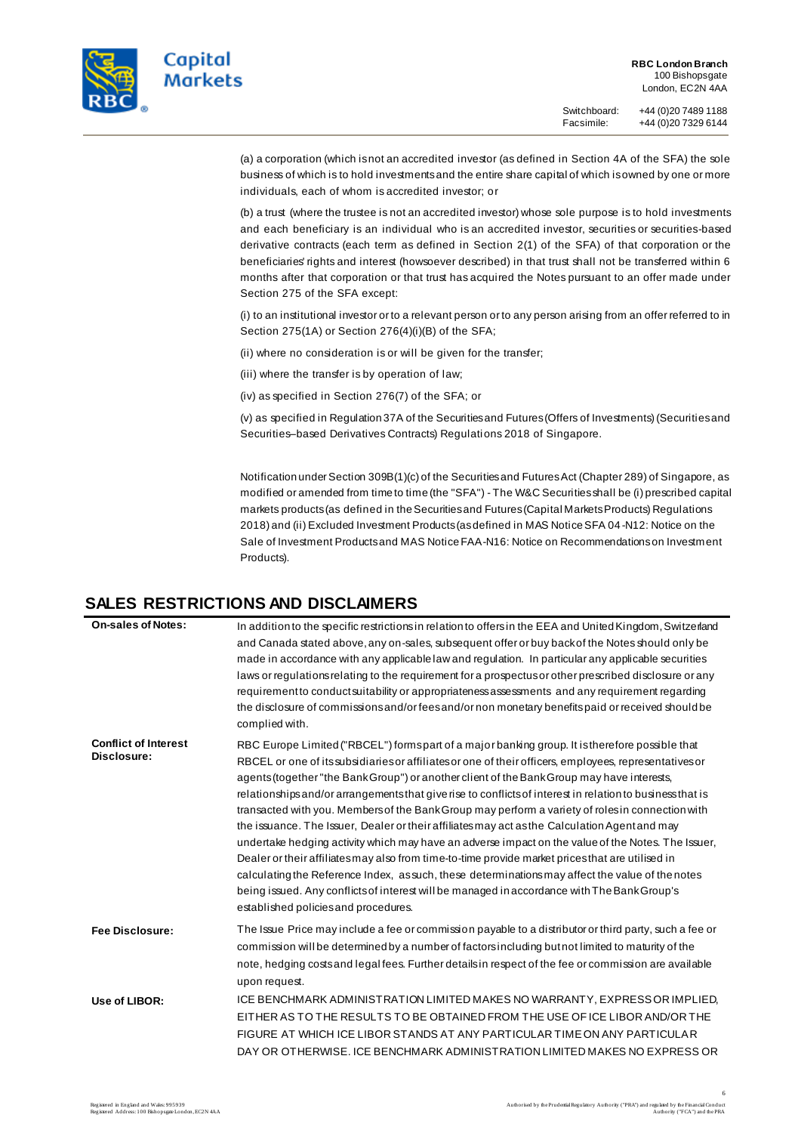

Switchboard: +44 (0)20 7489 1188 Facsimile: +44 (0)20 7329 6144

(a) a corporation (which is not an accredited investor (as defined in Section 4A of the SFA) the sole business of which is to hold investments and the entire share capital of which is owned by one or more individuals, each of whom is accredited investor; or

(b) a trust (where the trustee is not an accredited investor) whose sole purpose is to hold investments and each beneficiary is an individual who is an accredited investor, securities or securities-based derivative contracts (each term as defined in Section 2(1) of the SFA) of that corporation or the beneficiaries' rights and interest (howsoever described) in that trust shall not be transferred within 6 months after that corporation or that trust has acquired the Notes pursuant to an offer made under Section 275 of the SFA except:

(i) to an institutional investor or to a relevant person or to any person arising from an offer referred to in Section 275(1A) or Section 276(4)(i)(B) of the SFA;

(ii) where no consideration is or will be given for the transfer;

(iii) where the transfer is by operation of law;

(iv) as specified in Section 276(7) of the SFA; or

(v) as specified in Regulation 37A of the Securities and Futures (Offers of Investments) (Securities and Securities–based Derivatives Contracts) Regulations 2018 of Singapore.

Notification under Section 309B(1)(c) of the Securities and Futures Act (Chapter 289) of Singapore, as modified or amended from time to time (the "SFA") - The W&C Securities shall be (i) prescribed capital markets products (as defined in the Securities and Futures (Capital Markets Products) Regulations 2018) and (ii) Excluded Investment Products (as defined in MAS Notice SFA 04-N12: Notice on the Sale of Investment Products and MAS Notice FAA-N16: Notice on Recommendations on Investment Products).

# **SALES RESTRICTIONS AND DISCLAIMERS**

| <b>On-sales of Notes:</b>                  | In addition to the specific restrictions in relation to offers in the EEA and United Kingdom, Switzerland<br>and Canada stated above, any on-sales, subsequent offer or buy back of the Notes should only be<br>made in accordance with any applicable law and regulation. In particular any applicable securities<br>laws or regulations relating to the requirement for a prospectus or other prescribed disclosure or any<br>requirement to conduct suitability or appropriateness assessments and any requirement regarding<br>the disclosure of commissions and/or fees and/or non monetary benefits paid or received should be<br>complied with.                                                                                                                                                                                                                                                                                                                                                                                                                        |
|--------------------------------------------|-------------------------------------------------------------------------------------------------------------------------------------------------------------------------------------------------------------------------------------------------------------------------------------------------------------------------------------------------------------------------------------------------------------------------------------------------------------------------------------------------------------------------------------------------------------------------------------------------------------------------------------------------------------------------------------------------------------------------------------------------------------------------------------------------------------------------------------------------------------------------------------------------------------------------------------------------------------------------------------------------------------------------------------------------------------------------------|
| <b>Conflict of Interest</b><br>Disclosure: | RBC Europe Limited ("RBCEL") formspart of a major banking group. It is therefore possible that<br>RBCEL or one of its subsidiaries or affiliates or one of their officers, employees, representatives or<br>agents (together "the Bank Group") or another client of the Bank Group may have interests,<br>relationships and/or arrangements that give rise to conflicts of interest in relation to business that is<br>transacted with you. Members of the Bank Group may perform a variety of roles in connection with<br>the issuance. The Issuer, Dealer or their affiliates may act as the Calculation Agent and may<br>undertake hedging activity which may have an adverse impact on the value of the Notes. The Issuer,<br>Dealer or their affiliates may also from time-to-time provide market prices that are utilised in<br>calculating the Reference Index, as such, these determinations may affect the value of the notes<br>being issued. Any conflicts of interest will be managed in accordance with The Bank Group's<br>established policies and procedures. |
| <b>Fee Disclosure:</b>                     | The Issue Price may include a fee or commission payable to a distributor or third party, such a fee or<br>commission will be determined by a number of factors including but not limited to maturity of the<br>note, hedging costs and legal fees. Further details in respect of the fee or commission are available<br>upon request.                                                                                                                                                                                                                                                                                                                                                                                                                                                                                                                                                                                                                                                                                                                                         |
| Use of LIBOR:                              | ICE BENCHMARK ADMINISTRATION LIMITED MAKES NO WARRANTY, EXPRESSOR IMPLIED,<br>EITHER AS TO THE RESULTS TO BE OBTAINED FROM THE USE OF ICE LIBOR AND/OR THE<br>FIGURE AT WHICH ICE LIBOR STANDS AT ANY PARTICULAR TIME ON ANY PARTICULAR<br>DAY OR OTHERWISE. ICE BENCHMARK ADMINISTRATION LIMITED MAKES NO EXPRESS OR                                                                                                                                                                                                                                                                                                                                                                                                                                                                                                                                                                                                                                                                                                                                                         |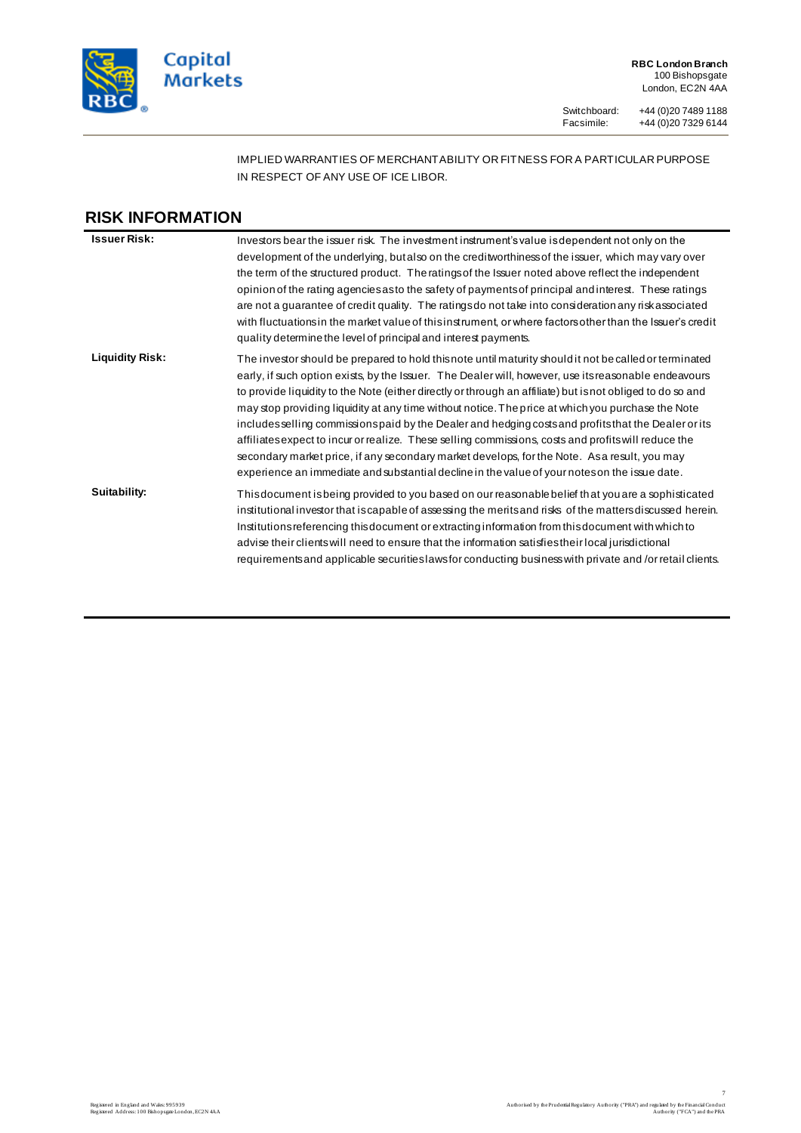

**RBC London Branch** 100 Bishopsgate London, EC2N 4AA

Switchboard: +44 (0)20 7489 1188 Facsimile: +44 (0)20 7329 6144

# IMPLIED WARRANTIES OF MERCHANTABILITY OR FITNESS FOR A PARTICULAR PURPOSE IN RESPECT OF ANY USE OF ICE LIBOR.

# **RISK INFORMATION Issuer Risk:** Investors bear the issuer risk. The investment instrument's value is dependent not only on the development of the underlying, but also on the creditworthiness of the issuer, which may vary over the term of the structured product. The ratings of the Issuer noted above reflect the independent opinion of the rating agencies as to the safety of payments of principal and interest. These ratings are not a guarantee of credit quality. The ratings do not take into consideration any risk associated with fluctuations in the market value of this instrument, or where factors other than the Issuer's credit quality determine the level of principal and interest payments. Liquidity Risk: The investor should be prepared to hold this note until maturity should it not be called or terminated early, if such option exists, by the Issuer. The Dealer will, however, use its reasonable endeavours to provide liquidity to the Note (either directly or through an affiliate) but is not obliged to do so and may stop providing liquidity at any time without notice. The price at which you purchase the Note includes selling commissions paid by the Dealer and hedging costs and profits that the Dealer or its affiliates expect to incur or realize. These selling commissions, costs and profits will reduce the secondary market price, if any secondary market develops, for the Note. As a result, you may experience an immediate and substantial decline in the value of your notes on the issue date. **Suitability:** This document is being provided to you based on our reasonable belief that you are a sophisticated institutional investor that is capable of assessing the merits and risks of the matters discussed herein. Institutions referencing this document or extracting information from this document with which to advise their clients will need to ensure that the information satisfies their local jurisdictional requirements and applicable securities laws for conducting business with private and /or retail clients.